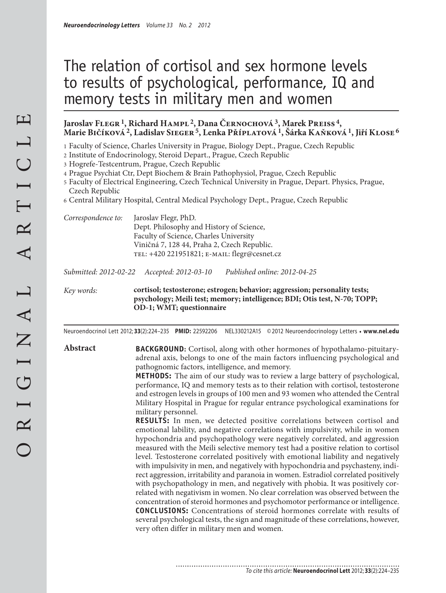### The relation of cortisol and sex hormone levels to results of psychological, performance, IQ and memory tests in military men and women

#### **Jaroslav Flegr 1, Richard Hampl 2, Dana Černochová 3, Marek Preiss 4, Marie Bičíková 2, Ladislav Sieger 5, Lenka Příplatová 1, Šárka Kaňková 1, Jiří Klose 6**

1 Faculty of Science, Charles University in Prague, Biology Dept., Prague, Czech Republic

2 Institute of Endocrinology, Steroid Depart., Prague, Czech Republic

3 Hogrefe-Testcentrum, Prague, Czech Republic

4 Prague Psychiat Ctr, Dept Biochem & Brain Pathophysiol, Prague, Czech Republic

- 5 Faculty of Electrical Engineering, Czech Technical University in Prague, Depart. Physics, Prague, Czech Republic
- 6 Central Military Hospital, Central Medical Psychology Dept., Prague, Czech Republic

| Correspondence to: | Jaroslav Flegr, PhD.                         |  |  |  |  |
|--------------------|----------------------------------------------|--|--|--|--|
|                    | Dept. Philosophy and History of Science,     |  |  |  |  |
|                    | Faculty of Science, Charles University       |  |  |  |  |
|                    | Viničná 7, 128 44, Praha 2, Czech Republic.  |  |  |  |  |
|                    | TEL: +420 221951821; E-MAIL: flegr@cesnet.cz |  |  |  |  |
|                    |                                              |  |  |  |  |

*Submitted: 2012-02-22 Accepted: 2012-03-10 Published online: 2012-04-25*

*Key words:* **cortisol; testosterone; estrogen; behavior; aggression; personality tests; psychology; Meili test; memory; intelligence; BDI; Otis test, N-70; TOPP; OD-1; WMT; questionnaire** 

............................

Neuroendocrinol Lett 2012; **33**(2):224–235 **PMID:** 22592206 NEL330212A15 © 2012 Neuroendocrinology Letters • **www.nel.edu**

**Abstract BACKGROUND:** Cortisol, along with other hormones of hypothalamo-pituitaryadrenal axis, belongs to one of the main factors influencing psychological and pathognomic factors, intelligence, and memory.

> **METHODS:** The aim of our study was to review a large battery of psychological, performance, IQ and memory tests as to their relation with cortisol, testosterone and estrogen levels in groups of 100 men and 93 women who attended the Central Military Hospital in Prague for regular entrance psychological examinations for military personnel.

> **RESULTS:** In men, we detected positive correlations between cortisol and emotional lability, and negative correlations with impulsivity, while in women hypochondria and psychopathology were negatively correlated, and aggression measured with the Meili selective memory test had a positive relation to cortisol level. Testosterone correlated positively with emotional liability and negatively with impulsivity in men, and negatively with hypochondria and psychasteny, indirect aggression, irritability and paranoia in women. Estradiol correlated positively with psychopathology in men, and negatively with phobia. It was positively correlated with negativism in women. No clear correlation was observed between the concentration of steroid hormones and psychomotor performance or intelligence. **CONCLUSIONS:** Concentrations of steroid hormones correlate with results of several psychological tests, the sign and magnitude of these correlations, however, very often differ in military men and women.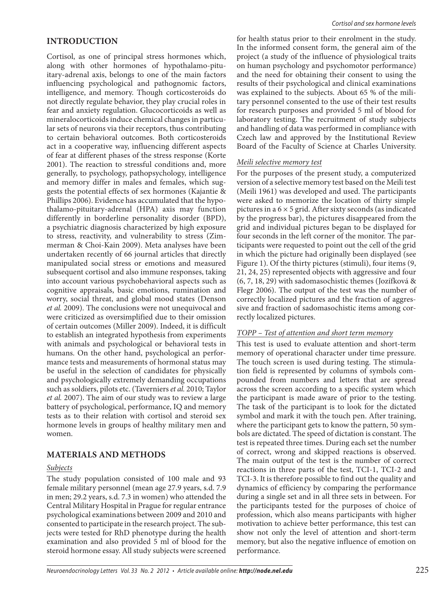#### **INTRODUCTION**

Cortisol, as one of principal stress hormones which, along with other hormones of hypothalamo-pituitary-adrenal axis, belongs to one of the main factors influencing psychological and pathognomic factors, intelligence, and memory. Though corticosteroids do not directly regulate behavior, they play crucial roles in fear and anxiety regulation. Glucocorticoids as well as mineralocorticoids induce chemical changes in particular sets of neurons via their receptors, thus contributing to certain behavioral outcomes. Both corticosteroids act in a cooperative way, influencing different aspects of fear at different phases of the stress response (Korte 2001). The reaction to stressful conditions and, more generally, to psychology, pathopsychology, intelligence and memory differ in males and females, which suggests the potential effects of sex hormones (Kajantie & Phillips 2006). Evidence has accumulated that the hypothalamo-pituitary-adrenal (HPA) axis may function differently in borderline personality disorder (BPD), a psychiatric diagnosis characterized by high exposure to stress, reactivity, and vulnerability to stress (Zimmerman & Choi-Kain 2009). Meta analyses have been undertaken recently of 66 journal articles that directly manipulated social stress or emotions and measured subsequent cortisol and also immune responses, taking into account various psychobehavioral aspects such as cognitive appraisals, basic emotions, rumination and worry, social threat, and global mood states (Denson *et al.* 2009). The conclusions were not unequivocal and were criticized as oversimplified due to their omission of certain outcomes (Miller 2009). Indeed, it is difficult to establish an integrated hypothesis from experiments with animals and psychological or behavioral tests in humans. On the other hand, psychological an performance tests and measurements of hormonal status may be useful in the selection of candidates for physically and psychologically extremely demanding occupations such as soldiers, pilots etc. (Taverniers *et al.* 2010; Taylor *et al.* 2007). The aim of our study was to review a large battery of psychological, performance, IQ and memory tests as to their relation with cortisol and steroid sex hormone levels in groups of healthy military men and women.

### **MATERIALS AND METHODS**

#### *Subjects*

The study population consisted of 100 male and 93 female military personnel (mean age 27.9 years, s.d. 7.9 in men; 29.2 years, s.d. 7.3 in women) who attended the Central Military Hospital in Prague for regular entrance psychological examinations between 2009 and 2010 and consented to participate in the research project. The subjects were tested for RhD phenotype during the health examination and also provided 5 ml of blood for the steroid hormone essay. All study subjects were screened

for health status prior to their enrolment in the study. In the informed consent form, the general aim of the project (a study of the influence of physiological traits on human psychology and psychomotor performance) and the need for obtaining their consent to using the results of their psychological and clinical examinations was explained to the subjects. About 65 % of the military personnel consented to the use of their test results for research purposes and provided 5 ml of blood for laboratory testing. The recruitment of study subjects and handling of data was performed in compliance with Czech law and approved by the Institutional Review Board of the Faculty of Science at Charles University.

#### *Meili selective memory test*

For the purposes of the present study, a computerized version of a selective memory test based on the Meili test (Meili 1961) was developed and used. The participants were asked to memorize the location of thirty simple pictures in a  $6 \times 5$  grid. After sixty seconds (as indicated by the progress bar), the pictures disappeared from the grid and individual pictures began to be displayed for four seconds in the left corner of the monitor. The participants were requested to point out the cell of the grid in which the picture had originally been displayed (see Figure 1). Of the thirty pictures (stimuli), four items (9, 21, 24, 25) represented objects with aggressive and four (6, 7, 18, 29) with sadomasochistic themes (Jozífková & Flegr 2006). The output of the test was the number of correctly localized pictures and the fraction of aggressive and fraction of sadomasochistic items among correctly localized pictures.

#### *TOPP – Test of attention and short term memory*

This test is used to evaluate attention and short-term memory of operational character under time pressure. The touch screen is used during testing. The stimulation field is represented by columns of symbols compounded from numbers and letters that are spread across the screen according to a specific system which the participant is made aware of prior to the testing. The task of the participant is to look for the dictated symbol and mark it with the touch pen. After training, where the participant gets to know the pattern, 50 symbols are dictated. The speed of dictation is constant. The test is repeated three times. During each set the number of correct, wrong and skipped reactions is observed. The main output of the test is the number of correct reactions in three parts of the test, TCI-1, TCI-2 and TCI-3. It is therefore possible to find out the quality and dynamics of efficiency by comparing the performance during a single set and in all three sets in between. For the participants tested for the purposes of choice of profession, which also means participants with higher motivation to achieve better performance, this test can show not only the level of attention and short-term memory, but also the negative influence of emotion on performance.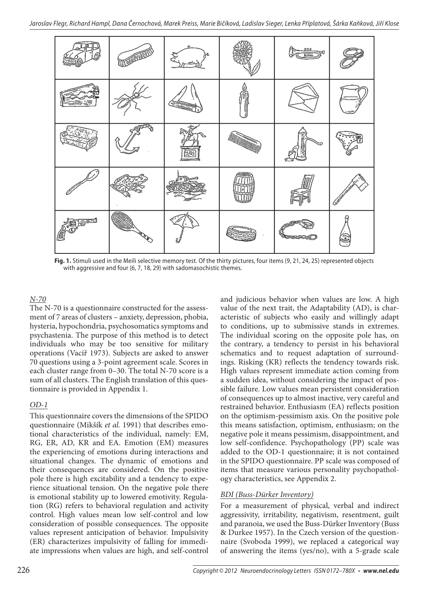

**Fig. 1.** Stimuli used in the Meili selective memory test. Of the thirty pictures, four items (9, 21, 24, 25) represented objects with aggressive and four (6, 7, 18, 29) with sadomasochistic themes.

#### *N-70*

The N-70 is a questionnaire constructed for the assessment of 7 areas of clusters – anxiety, depression, phobia, hysteria, hypochondria, psychosomatics symptoms and psychastenia. The purpose of this method is to detect individuals who may be too sensitive for military operations (Vacíř 1973). Subjects are asked to answer 70 questions using a 3-point agreement scale. Scores in each cluster range from 0–30. The total N-70 score is a sum of all clusters. The English translation of this questionnaire is provided in Appendix 1.

#### *OD-1*

This questionnaire covers the dimensions of the SPIDO questionnaire (Mikšík *et al.* 1991) that describes emotional characteristics of the individual, namely: EM, RG, ER, AD, KR and EA. Emotion (EM) measures the experiencing of emotions during interactions and situational changes. The dynamic of emotions and their consequences are considered. On the positive pole there is high excitability and a tendency to experience situational tension. On the negative pole there is emotional stability up to lowered emotivity. Regulation (RG) refers to behavioral regulation and activity control. High values mean low self-control and low consideration of possible consequences. The opposite values represent anticipation of behavior. Impulsivity (ER) characterizes impulsivity of falling for immediate impressions when values are high, and self-control and judicious behavior when values are low. A high value of the next trait, the Adaptability (AD), is characteristic of subjects who easily and willingly adapt to conditions, up to submissive stands in extremes. The individual scoring on the opposite pole has, on the contrary, a tendency to persist in his behavioral schematics and to request adaptation of surroundings. Risking (KR) reflects the tendency towards risk. High values represent immediate action coming from a sudden idea, without considering the impact of possible failure. Low values mean persistent consideration of consequences up to almost inactive, very careful and restrained behavior. Enthusiasm (EA) reflects position on the optimism-pessimism axis. On the positive pole this means satisfaction, optimism, enthusiasm; on the negative pole it means pessimism, disappointment, and low self-confidence. Psychopathology (PP) scale was added to the OD-1 questionnaire; it is not contained in the SPIDO questionnaire. PP scale was composed of items that measure various personality psychopathology characteristics, see Appendix 2.

#### *BDI (Buss-Dürker Inventory)*

For a measurement of physical, verbal and indirect aggressivity, irritability, negativism, resentment, guilt and paranoia, we used the Buss-Dürker Inventory (Buss & Durkee 1957). In the Czech version of the questionnaire (Svoboda 1999), we replaced a categorical way of answering the items (yes/no), with a 5-grade scale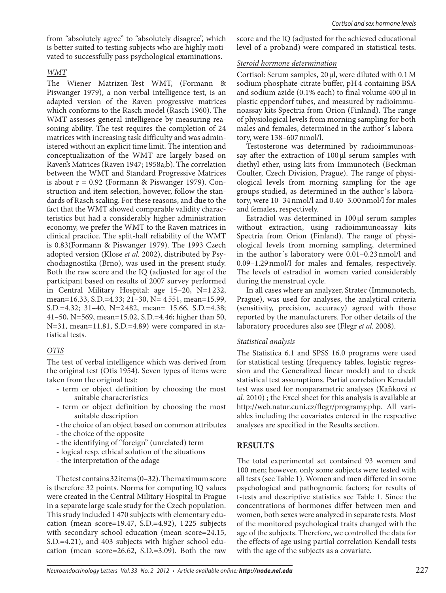from "absolutely agree" to "absolutely disagree", which is better suited to testing subjects who are highly motivated to successfully pass psychological examinations.

#### *WMT*

The Wiener Matrizen-Test WMT, (Formann & Piswanger 1979), a non-verbal intelligence test, is an adapted version of the Raven progressive matrices which conforms to the Rasch model (Rasch 1960). The WMT assesses general intelligence by measuring reasoning ability. The test requires the completion of 24 matrices with increasing task difficulty and was administered without an explicit time limit. The intention and conceptualization of the WMT are largely based on Raven's Matrices (Raven 1947; 1958a;b). The correlation between the WMT and Standard Progressive Matrices is about  $r = 0.92$  (Formann & Piswanger 1979). Construction and item selection, however, follow the standards of Rasch scaling. For these reasons, and due to the fact that the WMT showed comparable validity characteristics but had a considerably higher administration economy, we prefer the WMT to the Raven matrices in clinical practice. The split-half reliability of the WMT is 0.83(Formann & Piswanger 1979). The 1993 Czech adopted version (Klose *et al.* 2002), distributed by Psychodiagnostika (Brno), was used in the present study. Both the raw score and the IQ (adjusted for age of the participant based on results of 2007 survey performed in Central Military Hospital: age 15–20, N=1 232, mean=16.33, S.D.=4.33; 21–30, N= 4 551, mean=15.99, S.D.=4.32; 31–40, N=2 482, mean= 15.66, S.D.=4.38; 41–50, N=569, mean=15.02, S.D.=4.46; higher than 50, N=31, mean=11.81, S.D.=4.89) were compared in statistical tests.

#### *OTIS*

The test of verbal intelligence which was derived from the original test (Otis 1954). Seven types of items were taken from the original test:

- term or object definition by choosing the most suitable characteristics
- term or object definition by choosing the most suitable description
- the choice of an object based on common attributes
- the choice of the opposite
- the identifying of "foreign" (unrelated) term
- logical resp. ethical solution of the situations
- the interpretation of the adage

The test contains 32 items (0–32). The maximum score is therefore 32 points. Norms for computing IQ values were created in the Central Military Hospital in Prague in a separate large scale study for the Czech population. This study included 1 470 subjects with elementary education (mean score=19.47, S.D.=4.92), 1 225 subjects with secondary school education (mean score=24.15, S.D.=4.21), and 403 subjects with higher school education (mean score=26.62, S.D.=3.09). Both the raw

score and the IQ (adjusted for the achieved educational level of a proband) were compared in statistical tests.

#### *Steroid hormone determination*

Cortisol: Serum samples, 20 μl, were diluted with 0.1 M sodium phosphate-citrate buffer, pH 4 containing BSA and sodium azide (0.1% each) to final volume 400 μl in plastic eppendorf tubes, and measured by radioimmunoassay kits Spectria from Orion (Finland). The range of physiological levels from morning sampling for both males and females, determined in the author´s laboratory, were 138–607 nmol/l.

Testosterone was determined by radioimmunoassay after the extraction of 100 μl serum samples with diethyl ether, using kits from Immunotech (Beckman Coulter, Czech Division, Prague). The range of physiological levels from morning sampling for the age groups studied, as determined in the author´s laboratory, were 10–34 nmol/l and 0.40–3.00 nmol/l for males and females, respectively.

Estradiol was determined in 100 μl serum samples without extraction, using radioimmunoassay kits Spectria from Orion (Finland). The range of physiological levels from morning sampling, determined in the author´s laboratory were 0.01–0.23 nmol/l and 0.09–1.29 nmol/l for males and females, respectively. The levels of estradiol in women varied considerably during the menstrual cycle.

In all cases where an analyzer, Stratec (Immunotech, Prague), was used for analyses, the analytical criteria (sensitivity, precision, accuracy) agreed with those reported by the manufacturers. For other details of the laboratory procedures also see (Flegr *et al.* 2008).

#### *Statistical analysis*

The Statistica 6.1 and SPSS 16.0 programs were used for statistical testing (frequency tables, logistic regression and the Generalized linear model) and to check statistical test assumptions. Partial correlation Kenadall test was used for nonparametric analyses (Kaňková *et al.* 2010) ; the Excel sheet for this analysis is available at http://web.natur.cuni.cz/flegr/programy.php. All variables including the covariates entered in the respective analyses are specified in the Results section.

#### **RESULTS**

The total experimental set contained 93 women and 100 men; however, only some subjects were tested with all tests (see Table 1). Women and men differed in some psychological and pathognomic factors; for results of t-tests and descriptive statistics see Table 1. Since the concentrations of hormones differ between men and women, both sexes were analyzed in separate tests. Most of the monitored psychological traits changed with the age of the subjects. Therefore, we controlled the data for the effects of age using partial correlation Kendall tests with the age of the subjects as a covariate.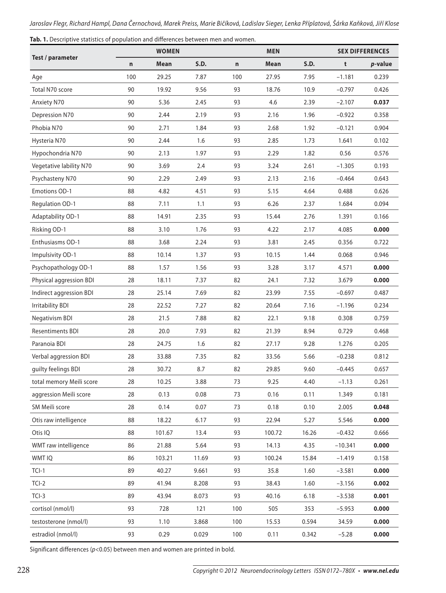|                          |     | <b>WOMEN</b> |             |     | <b>MEN</b> | <b>SEX DIFFERENCES</b> |           |                 |
|--------------------------|-----|--------------|-------------|-----|------------|------------------------|-----------|-----------------|
| Test / parameter         | n   | Mean         | <b>S.D.</b> | n   | Mean       | <b>S.D.</b>            | t         | <i>p</i> -value |
| Age                      | 100 | 29.25        | 7.87        | 100 | 27.95      | 7.95                   | $-1.181$  | 0.239           |
| Total N70 score          | 90  | 19.92        | 9.56        | 93  | 18.76      | 10.9                   | $-0.797$  | 0.426           |
| <b>Anxiety N70</b>       | 90  | 5.36         | 2.45        | 93  | 4.6        | 2.39                   | $-2.107$  | 0.037           |
| Depression N70           | 90  | 2.44         | 2.19        | 93  | 2.16       | 1.96                   | $-0.922$  | 0.358           |
| Phobia N70               | 90  | 2.71         | 1.84        | 93  | 2.68       | 1.92                   | $-0.121$  | 0.904           |
| Hysteria N70             | 90  | 2.44         | 1.6         | 93  | 2.85       | 1.73                   | 1.641     | 0.102           |
| Hypochondria N70         | 90  | 2.13         | 1.97        | 93  | 2.29       | 1.82                   | 0.56      | 0.576           |
| Vegetative lability N70  | 90  | 3.69         | 2.4         | 93  | 3.24       | 2.61                   | $-1.305$  | 0.193           |
| Psychasteny N70          | 90  | 2.29         | 2.49        | 93  | 2.13       | 2.16                   | $-0.464$  | 0.643           |
| <b>Emotions OD-1</b>     | 88  | 4.82         | 4.51        | 93  | 5.15       | 4.64                   | 0.488     | 0.626           |
| Regulation OD-1          | 88  | 7.11         | 1.1         | 93  | 6.26       | 2.37                   | 1.684     | 0.094           |
| Adaptability OD-1        | 88  | 14.91        | 2.35        | 93  | 15.44      | 2.76                   | 1.391     | 0.166           |
| Risking OD-1             | 88  | 3.10         | 1.76        | 93  | 4.22       | 2.17                   | 4.085     | 0.000           |
| Enthusiasms OD-1         | 88  | 3.68         | 2.24        | 93  | 3.81       | 2.45                   | 0.356     | 0.722           |
| Impulsivity OD-1         | 88  | 10.14        | 1.37        | 93  | 10.15      | 1.44                   | 0.068     | 0.946           |
| Psychopathology OD-1     | 88  | 1.57         | 1.56        | 93  | 3.28       | 3.17                   | 4.571     | 0.000           |
| Physical aggression BDI  | 28  | 18.11        | 7.37        | 82  | 24.1       | 7.32                   | 3.679     | 0.000           |
| Indirect aggression BDI  | 28  | 25.14        | 7.69        | 82  | 23.99      | 7.55                   | $-0.697$  | 0.487           |
| <b>Irritability BDI</b>  | 28  | 22.52        | 7.27        | 82  | 20.64      | 7.16                   | $-1.196$  | 0.234           |
| Negativism BDI           | 28  | 21.5         | 7.88        | 82  | 22.1       | 9.18                   | 0.308     | 0.759           |
| <b>Resentiments BDI</b>  | 28  | 20.0         | 7.93        | 82  | 21.39      | 8.94                   | 0.729     | 0.468           |
| Paranoia BDI             | 28  | 24.75        | 1.6         | 82  | 27.17      | 9.28                   | 1.276     | 0.205           |
| Verbal aggression BDI    | 28  | 33.88        | 7.35        | 82  | 33.56      | 5.66                   | $-0.238$  | 0.812           |
| guilty feelings BDI      | 28  | 30.72        | 8.7         | 82  | 29.85      | 9.60                   | $-0.445$  | 0.657           |
| total memory Meili score | 28  | 10.25        | 3.88        | 73  | 9.25       | 4.40                   | $-1.13$   | 0.261           |
| aggression Meili score   | 28  | 0.13         | 0.08        | 73  | 0.16       | 0.11                   | 1.349     | 0.181           |
| SM Meili score           | 28  | 0.14         | 0.07        | 73  | 0.18       | 0.10                   | 2.005     | 0.048           |
| Otis raw intelligence    | 88  | 18.22        | 6.17        | 93  | 22.94      | 5.27                   | 5.546     | 0.000           |
| Otis IQ                  | 88  | 101.67       | 13.4        | 93  | 100.72     | 16.26                  | $-0.432$  | 0.666           |
| WMT raw intelligence     | 86  | 21.88        | 5.64        | 93  | 14.13      | 4.35                   | $-10.341$ | 0.000           |
| WMT IQ                   | 86  | 103.21       | 11.69       | 93  | 100.24     | 15.84                  | $-1.419$  | 0.158           |
| $TCI-1$                  | 89  | 40.27        | 9.661       | 93  | 35.8       | 1.60                   | $-3.581$  | 0.000           |
| $TCI-2$                  | 89  | 41.94        | 8.208       | 93  | 38.43      | 1.60                   | $-3.156$  | 0.002           |
| $TCI-3$                  | 89  | 43.94        | 8.073       | 93  | 40.16      | 6.18                   | $-3.538$  | 0.001           |
| cortisol (nmol/l)        | 93  | 728          | 121         | 100 | 505        | 353                    | $-5.953$  | 0.000           |
| testosterone (nmol/l)    | 93  | 1.10         | 3.868       | 100 | 15.53      | 0.594                  | 34.59     | 0.000           |
| estradiol (nmol/l)       | 93  | 0.29         | 0.029       | 100 | 0.11       | 0.342                  | $-5.28$   | 0.000           |

Significant differences ( $p$ <0.05) between men and women are printed in bold.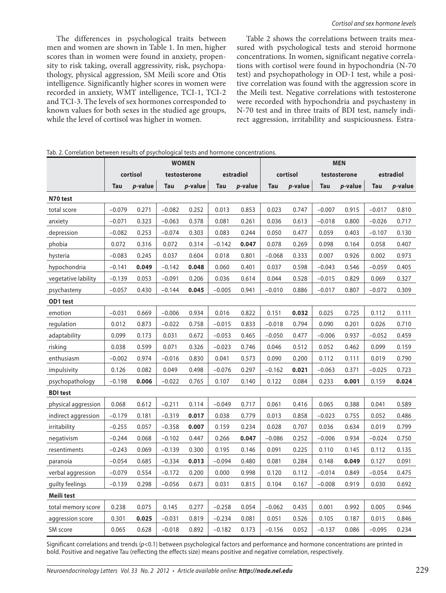The differences in psychological traits between men and women are shown in Table 1. In men, higher scores than in women were found in anxiety, propensity to risk taking, overall aggressivity, risk, psychopathology, physical aggression, SM Meili score and Otis intelligence. Significantly higher scores in women were recorded in anxiety, WMT intelligence, TCI-1, TCI-2 and TCI-3. The levels of sex hormones corresponded to known values for both sexes in the studied age groups, while the level of cortisol was higher in women.

Table 2 shows the correlations between traits measured with psychological tests and steroid hormone concentrations. In women, significant negative correlations with cortisol were found in hypochondria (N-70 test) and psychopathology in OD-1 test, while a positive correlation was found with the aggression score in the Meili test. Negative correlations with testosterone were recorded with hypochondria and psychasteny in N-70 test and in three traits of BDI test, namely indirect aggression, irritability and suspiciousness. Estra-

|                     | <b>WOMEN</b> |         |              |         |            |         | <b>MEN</b> |         |              |         |           |         |  |
|---------------------|--------------|---------|--------------|---------|------------|---------|------------|---------|--------------|---------|-----------|---------|--|
|                     | cortisol     |         | testosterone |         | estradiol  |         | cortisol   |         | testosterone |         | estradiol |         |  |
|                     | Tau          | p-value | Tau          | p-value | <b>Tau</b> | p-value | Tau        | p-value | <b>Tau</b>   | p-value | Tau       | p-value |  |
| N70 test            |              |         |              |         |            |         |            |         |              |         |           |         |  |
| total score         | $-0.079$     | 0.271   | $-0.082$     | 0.252   | 0.013      | 0.853   | 0.023      | 0.747   | $-0.007$     | 0.915   | $-0.017$  | 0.810   |  |
| anxiety             | $-0.071$     | 0.323   | $-0.063$     | 0.378   | 0.081      | 0.261   | 0.036      | 0.613   | $-0.018$     | 0.800   | $-0.026$  | 0.717   |  |
| depression          | $-0.082$     | 0.253   | $-0.074$     | 0.303   | 0.083      | 0.244   | 0.050      | 0.477   | 0.059        | 0.403   | $-0.107$  | 0.130   |  |
| phobia              | 0.072        | 0.316   | 0.072        | 0.314   | $-0.142$   | 0.047   | 0.078      | 0.269   | 0.098        | 0.164   | 0.058     | 0.407   |  |
| hysteria            | $-0.083$     | 0.245   | 0.037        | 0.604   | 0.018      | 0.801   | $-0.068$   | 0.333   | 0.007        | 0.926   | 0.002     | 0.973   |  |
| hypochondria        | $-0.141$     | 0.049   | $-0.142$     | 0.048   | 0.060      | 0.401   | 0.037      | 0.598   | $-0.043$     | 0.546   | $-0.059$  | 0.405   |  |
| vegetative lability | $-0.139$     | 0.053   | $-0.091$     | 0.206   | 0.036      | 0.614   | 0.044      | 0.528   | $-0.015$     | 0.829   | 0.069     | 0.327   |  |
| psychasteny         | $-0.057$     | 0.430   | $-0.144$     | 0.045   | $-0.005$   | 0.941   | $-0.010$   | 0.886   | $-0.017$     | 0.807   | $-0.072$  | 0.309   |  |
| OD1 test            |              |         |              |         |            |         |            |         |              |         |           |         |  |
| emotion             | $-0.031$     | 0.669   | $-0.006$     | 0.934   | 0.016      | 0.822   | 0.151      | 0.032   | 0.025        | 0.725   | 0.112     | 0.111   |  |
| regulation          | 0.012        | 0.873   | $-0.022$     | 0.758   | $-0.015$   | 0.833   | $-0.018$   | 0.794   | 0.090        | 0.201   | 0.026     | 0.710   |  |
| adaptability        | 0.099        | 0.173   | 0.031        | 0.672   | $-0.053$   | 0.465   | $-0.050$   | 0.477   | $-0.006$     | 0.937   | $-0.052$  | 0.459   |  |
| risking             | 0.038        | 0.599   | 0.071        | 0.326   | $-0.023$   | 0.746   | 0.046      | 0.512   | 0.052        | 0.462   | 0.099     | 0.159   |  |
| enthusiasm          | $-0.002$     | 0.974   | $-0.016$     | 0.830   | 0.041      | 0.573   | 0.090      | 0.200   | 0.112        | 0.111   | 0.019     | 0.790   |  |
| impulsivity         | 0.126        | 0.082   | 0.049        | 0.498   | $-0.076$   | 0.297   | $-0.162$   | 0.021   | $-0.063$     | 0.371   | $-0.025$  | 0.723   |  |
| psychopathology     | $-0.198$     | 0.006   | $-0.022$     | 0.765   | 0.107      | 0.140   | 0.122      | 0.084   | 0.233        | 0.001   | 0.159     | 0.024   |  |
| <b>BDI test</b>     |              |         |              |         |            |         |            |         |              |         |           |         |  |
| physical aggression | 0.068        | 0.612   | $-0.211$     | 0.114   | $-0.049$   | 0.717   | 0.061      | 0.416   | 0.065        | 0.388   | 0.041     | 0.589   |  |
| indirect aggression | $-0.179$     | 0.181   | $-0.319$     | 0.017   | 0.038      | 0.779   | 0.013      | 0.858   | $-0.023$     | 0.755   | 0.052     | 0.486   |  |
| irritability        | $-0.255$     | 0.057   | $-0.358$     | 0.007   | 0.159      | 0.234   | 0.028      | 0.707   | 0.036        | 0.634   | 0.019     | 0.799   |  |
| negativism          | $-0.244$     | 0.068   | $-0.102$     | 0.447   | 0.266      | 0.047   | $-0.086$   | 0.252   | $-0.006$     | 0.934   | $-0.024$  | 0.750   |  |
| resentiments        | $-0.243$     | 0.069   | $-0.139$     | 0.300   | 0.195      | 0.146   | 0.091      | 0.225   | 0.110        | 0.145   | 0.112     | 0.135   |  |
| paranoia            | $-0.054$     | 0.685   | $-0.334$     | 0.013   | $-0.094$   | 0.480   | 0.081      | 0.284   | 0.148        | 0.049   | 0.127     | 0.091   |  |
| verbal aggression   | $-0.079$     | 0.554   | $-0.172$     | 0.200   | 0.000      | 0.998   | 0.120      | 0.112   | $-0.014$     | 0.849   | $-0.054$  | 0.475   |  |
| guilty feelings     | $-0.139$     | 0.298   | $-0.056$     | 0.673   | 0.031      | 0.815   | 0.104      | 0.167   | $-0.008$     | 0.919   | 0.030     | 0.692   |  |
| Meili test          |              |         |              |         |            |         |            |         |              |         |           |         |  |
| total memory score  | 0.238        | 0.075   | 0.145        | 0.277   | $-0.258$   | 0.054   | $-0.062$   | 0.435   | 0.001        | 0.992   | 0.005     | 0.946   |  |
| aggression score    | 0.301        | 0.025   | $-0.031$     | 0.819   | $-0.234$   | 0.081   | 0.051      | 0.526   | 0.105        | 0.187   | 0.015     | 0.846   |  |
| SM score            | 0.065        | 0.628   | $-0.018$     | 0.892   | $-0.182$   | 0.173   | $-0.156$   | 0.052   | $-0.137$     | 0.086   | $-0.095$  | 0.234   |  |

Tab. 2. Correlation between results of psychological tests and hormone concentrations.

Significant correlations and trends ( $p<0.1$ ) between psychological factors and performance and hormone concentrations are printed in bold. Positive and negative Tau (reflecting the effects size) means positive and negative correlation, respectively.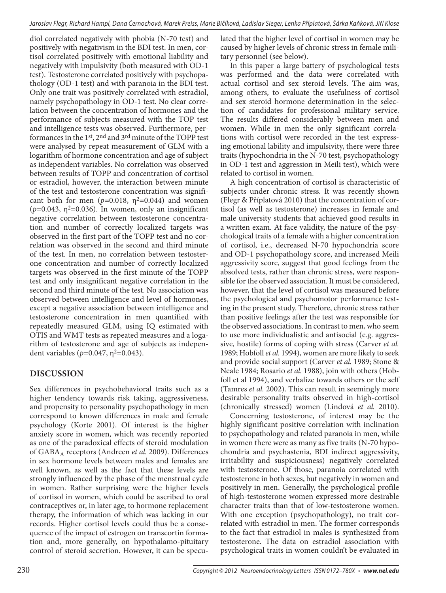diol correlated negatively with phobia (N-70 test) and positively with negativism in the BDI test. In men, cortisol correlated positively with emotional liability and negatively with impulsivity (both measured with OD-1 test). Testosterone correlated positively with psychopathology (OD-1 test) and with paranoia in the BDI test. Only one trait was positively correlated with estradiol, namely psychopathology in OD-1 test. No clear correlation between the concentration of hormones and the performance of subjects measured with the TOP test and intelligence tests was observed. Furthermore, performances in the 1st, 2nd and 3rd minute of the TOPP test were analysed by repeat measurement of GLM with a logarithm of hormone concentration and age of subject as independent variables. No correlation was observed between results of TOPP and concentration of cortisol or estradiol, however, the interaction between minute of the test and testosterone concentration was significant both for men  $(p=0.018, \eta^2=0.044)$  and women  $(p=0.043, \eta^2=0.036)$ . In women, only an insignificant negative correlation between testosterone concentration and number of correctly localized targets was observed in the first part of the TOPP test and no correlation was observed in the second and third minute of the test. In men, no correlation between testosterone concentration and number of correctly localized targets was observed in the first minute of the TOPP test and only insignificant negative correlation in the second and third minute of the test. No association was observed between intelligence and level of hormones, except a negative association between intelligence and testosterone concentration in men quantified with repeatedly measured GLM, using IQ estimated with OTIS and WMT tests as repeated measures and a logarithm of testosterone and age of subjects as independent variables (*p*=0.047, η<sup>2</sup>=0.043).

### **DISCUSSION**

Sex differences in psychobehavioral traits such as a higher tendency towards risk taking, aggressiveness, and propensity to personality psychopathology in men correspond to known differences in male and female psychology (Korte 2001). Of interest is the higher anxiety score in women, which was recently reported as one of the paradoxical effects of steroid modulation of GABA<sub>A</sub> receptors (Andreen et al. 2009). Differences in sex hormone levels between males and females are well known, as well as the fact that these levels are strongly influenced by the phase of the menstrual cycle in women. Rather surprising were the higher levels of cortisol in women, which could be ascribed to oral contraceptives or, in later age, to hormone replacement therapy, the information of which was lacking in our records. Higher cortisol levels could thus be a consequence of the impact of estrogen on transcortin formation and, more generally, on hypothalamo-pituitary control of steroid secretion. However, it can be speculated that the higher level of cortisol in women may be caused by higher levels of chronic stress in female military personnel (see below).

In this paper a large battery of psychological tests was performed and the data were correlated with actual cortisol and sex steroid levels. The aim was, among others, to evaluate the usefulness of cortisol and sex steroid hormone determination in the selection of candidates for professional military service. The results differed considerably between men and women. While in men the only significant correlations with cortisol were recorded in the test expressing emotional lability and impulsivity, there were three traits (hypochondria in the N-70 test, psychopathology in OD-1 test and aggression in Meili test), which were related to cortisol in women.

A high concentration of cortisol is characteristic of subjects under chronic stress. It was recently shown (Flegr & Příplatová 2010) that the concentration of cortisol (as well as testosterone) increases in female and male university students that achieved good results in a written exam. At face validity, the nature of the psychological traits of a female with a higher concentration of cortisol, i.e., decreased N-70 hypochondria score and OD-1 psychopathology score, and increased Meili aggressivity score, suggest that good feelings from the absolved tests, rather than chronic stress, were responsible for the observed association. It must be considered, however, that the level of cortisol was measured before the psychological and psychomotor performance testing in the present study. Therefore, chronic stress rather than positive feelings after the test was responsible for the observed associations. In contrast to men, who seem to use more individualistic and antisocial (e.g. aggressive, hostile) forms of coping with stress (Carver *et al.* 1989; Hobfoll *et al.* 1994), women are more likely to seek and provide social support (Carver *et al.* 1989; Stone & Neale 1984; Rosario *et al.* 1988), join with others (Hobfoll et al 1994), and verbalize towards others or the self (Tamres *et al.* 2002). This can result in seemingly more desirable personality traits observed in high-cortisol (chronically stressed) women (Lindová *et al.* 2010).

Concerning testosterone, of interest may be the highly significant positive correlation with inclination to psychopathology and related paranoia in men, while in women there were as many as five traits (N-70 hypochondria and psychastenia, BDI indirect aggressivity, irritability and suspiciousness) negatively correlated with testosterone. Of those, paranoia correlated with testosterone in both sexes, but negatively in women and positively in men. Generally, the psychological profile of high-testosterone women expressed more desirable character traits than that of low-testosterone women. With one exception (psychopathology), no trait correlated with estradiol in men. The former corresponds to the fact that estradiol in males is synthesized from testosterone. The data on estradiol association with psychological traits in women couldn't be evaluated in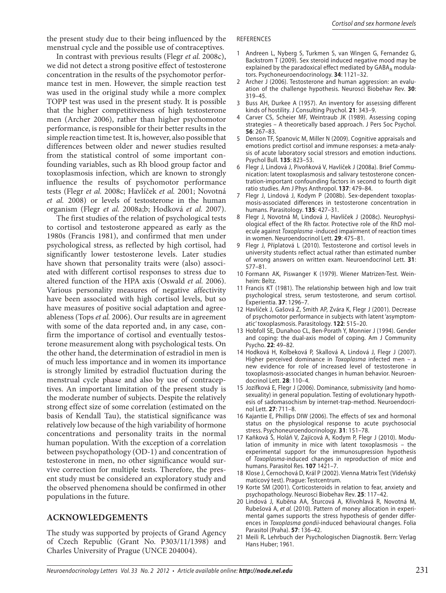the present study due to their being influenced by the menstrual cycle and the possible use of contraceptives.

In contrast with previous results (Flegr *et al.* 2008c), we did not detect a strong positive effect of testosterone concentration in the results of the psychomotor performance test in men. However, the simple reaction test was used in the original study while a more complex TOPP test was used in the present study. It is possible that the higher competitiveness of high testosterone men (Archer 2006), rather than higher psychomotor performance, is responsible for their better results in the simple reaction time test. It is, however, also possible that differences between older and newer studies resulted from the statistical control of some important confounding variables, such as Rh blood group factor and toxoplasmosis infection, which are known to strongly influence the results of psychomotor performance tests (Flegr *et al.* 2008c; Havlíček *et al.* 2001; Novotná *et al.* 2008) or levels of testosterone in the human organism (Flegr *et al.* 2008a;b; Hodková *et al.* 2007).

The first studies of the relation of psychological tests to cortisol and testosterone appeared as early as the 1980s (Francis 1981), and confirmed that men under psychological stress, as reflected by high cortisol, had significantly lower testosterone levels. Later studies have shown that personality traits were (also) associated with different cortisol responses to stress due to altered function of the HPA axis (Oswald *et al.* 2006). Various personality measures of negative affectivity have been associated with high cortisol levels, but so have measures of positive social adaptation and agreeableness (Tops *et al.* 2006). Our results are in agreement with some of the data reported and, in any case, confirm the importance of cortisol and eventually testosterone measurement along with psychological tests. On the other hand, the determination of estradiol in men is of much less importance and in women its importance is strongly limited by estradiol fluctuation during the menstrual cycle phase and also by use of contraceptives. An important limitation of the present study is the moderate number of subjects. Despite the relatively strong effect size of some correlation (estimated on the basis of Kendall Tau), the statistical significance was relatively low because of the high variability of hormone concentrations and personality traits in the normal human population. With the exception of a correlation between psychopathology (OD-1) and concentration of testosterone in men, no other significance would survive correction for multiple tests. Therefore, the present study must be considered an exploratory study and the observed phenomena should be confirmed in other populations in the future.

#### **ACKNOWLEDGEMENTS**

The study was supported by projects of Grand Agency of Czech Republic (Grant No. P303/11/1398) and Charles University of Prague (UNCE 204004).

#### REFERENCES

- 1 Andreen L, Nyberg S, Turkmen S, van Wingen G, Fernandez G, Backstrom T (2009). Sex steroid induced negative mood may be explained by the paradoxical effect mediated by  $GABA_A$  modulators. Psychoneuroendocrinology. **34**: 1121–32.
- 2 Archer J (2006). Testosterone and human aggression: an evaluation of the challenge hypothesis. Neurosci Biobehav Rev. **30**: 319–45.
- 3 Buss AH, Durkee A (1957). An inventory for assessing different kinds of hostility. J Consulting Psychol. **21**: 343–9.
- Carver CS, Scheier MF, Weintraub JK (1989). Assessing coping strategies – A theoretically based approach. J Pers Soc Psychol. **56**: 267–83.
- 5 Denson TF, Spanovic M, Miller N (2009). Cognitive appraisals and emotions predict cortisol and immune responses: a meta-analysis of acute laboratory social stressors and emotion inductions. Psychol Bull. **135**: 823–53.
- 6 Flegr J, Lindová J, Pivoňková V, Havlíček J (2008a). Brief Communication: latent toxoplasmosis and salivary testosterone concentration-important confounding factors in second to fourth digit ratio studies. Am J Phys Anthropol. **137**: 479–84.
- 7 Flegr J, Lindová J, Kodym P (2008b). Sex-dependent toxoplasmosis-associated differences in testosterone concentration in humans. Parasitology. **135**: 427–31.
- Flegr J, Novotná M, Lindová J, Havlíček J (2008c). Neurophysiological effect of the Rh factor. Protective role of the RhD molecule against Toxoplasma -induced impairment of reaction times in women. Neuroendocrinol Lett. **29**: 475–81.
- 9 Flegr J, Příplatová L (2010). Testosterone and cortisol levels in university students reflect actual rather than estimated number of wrong answers on written exam. Neuroendocrinol Lett. **31**: 577–81.
- 10 Formann AK, Piswanger K (1979). Wiener Matrizen-Test. Weinheim: Beltz.
- 11 Francis KT (1981). The relationship between high and low trait psychological stress, serum testosterone, and serum cortisol. Experientia. **37**: 1296–7.
- 12 Havlíček J, Gašová Z, Smith AP, Zvára K, Flegr J (2001). Decrease of psychomotor performance in subjects with latent 'asymptomatic' toxoplasmosis. Parasitology. **122**: 515–20.
- 13 Hobfoll SE, Dunahoo CL, Ben-Porath Y, Monnier J (1994). Gender and coping: the dual-axis model of coping. Am J Community Psycho. **22**: 49–82.
- 14 Hodková H, Kolbeková P, Skallová A, Lindová J, Flegr J (2007). Higher perceived dominance in Toxoplasma infected men – a new evidence for role of increased level of testosterone in toxoplasmosis-associated changes in human behavior. Neuroendocrinol Lett. **28**: 110–4.
- 15 Jozífková E, Flegr J (2006). Dominance, submissivity (and homosexuality) in general population. Testing of evolutionary hypothesis of sadomasochism by internet-trap-method. Neuroendocrinol Lett. **27**: 711–8.
- 16 Kajantie E, Phillips DIW (2006). The effects of sex and hormonal status on the physiological response to acute psychosocial stress. Psychoneuroendocrinology. **31**: 151–78.
- 17 Kaňková Š, Holáň V, Zajícová A, Kodym P, Flegr J (2010). Modulation of immunity in mice with latent toxoplasmosis – the experimental support for the immunosupression hypothesis of Toxoplasma-induced changes in reproduction of mice and humans. Parasitol Res. **107** 1421–7.
- 18 Klose J, Černochová D, Král P (2002). Vienna Matrix Test (Vídeňský maticový test). Prague: Testcentrum.
- 19 Korte SM (2001). Corticosteroids in relation to fear, anxiety and psychopathology. Neurosci Biobehav Rev. **25**: 117–42.
- 20 Lindová J, Kuběna AA, Šturcová A, Křivohlavá R, Novotná M, Rubešová A, et al. (2010). Pattern of money allocation in experimental games supports the stress hypothesis of gender differences in Toxoplasma gondii-induced behavioural changes. Folia Parasitol (Praha). **57**: 136–42.
- 21 Meili R**.** Lehrbuch der Psychologischen Diagnostik. Bern: Verlag Hans Huber; 1961.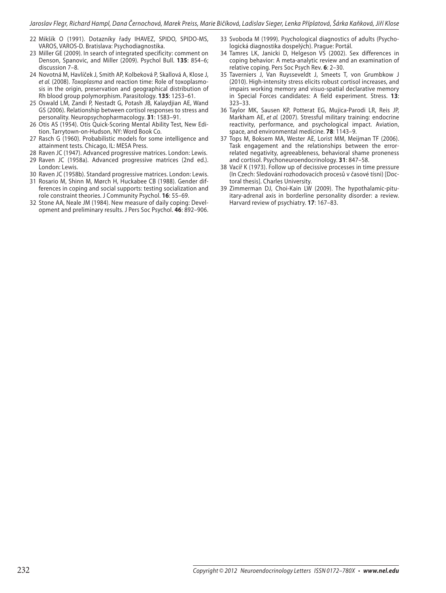- 22 Mikšík O (1991). Dotazníky řady IHAVEZ, SPIDO, SPIDO-MS, VAROS, VAROS-D. Bratislava: Psychodiagnostika.
- 23 Miller GE (2009). In search of integrated specificity: comment on Denson, Spanovic, and Miller (2009). Psychol Bull. **135**: 854–6; discussion 7–8.
- 24 Novotná M, Havlíček J, Smith AP, Kolbeková P, Skallová A, Klose J, et al. (2008). Toxoplasma and reaction time: Role of toxoplasmosis in the origin, preservation and geographical distribution of Rh blood group polymorphism. Parasitology. **135**: 1253–61.
- 25 Oswald LM, Zandi P, Nestadt G, Potash JB, Kalaydjian AE, Wand GS (2006). Relationship between cortisol responses to stress and personality. Neuropsychopharmacology. **31**: 1583–91.
- 26 Otis AS (1954). Otis Quick-Scoring Mental Ability Test, New Edition. Tarrytown-on-Hudson, NY: Word Book Co.
- 27 Rasch G (1960). Probabilistic models for some intelligence and attainment tests. Chicago, IL: MESA Press.
- 28 Raven JC (1947). Advanced progressive matrices. London: Lewis.
- 29 Raven JC (1958a). Advanced progressive matrices (2nd ed.). London: Lewis.
- 30 Raven JC (1958b). Standard progressive matrices. London: Lewis.
- 31 Rosario M, Shinn M, Mørch H, Huckabee CB (1988). Gender differences in coping and social supports: testing socialization and role constraint theories. J Community Psychol. **16**: 55–69.
- 32 Stone AA, Neale JM (1984). New measure of daily coping: Development and preliminary results. J Pers Soc Psychol. **46**: 892–906.
- 33 Svoboda M (1999). Psychological diagnostics of adults (Psychologická diagnostika dospelých). Prague: Portál.
- 34 Tamres LK, Janicki D, Helgeson VS (2002). Sex differences in coping behavior: A meta-analytic review and an examination of relative coping. Pers Soc Psych Rev. **6**: 2–30.
- 35 Taverniers J, Van Ruysseveldt J, Smeets T, von Grumbkow J (2010). High-intensity stress elicits robust cortisol increases, and impairs working memory and visuo-spatial declarative memory in Special Forces candidates: A field experiment. Stress. **13**: 323–33.
- 36 Taylor MK, Sausen KP, Potterat EG, Mujica-Parodi LR, Reis JP, Markham AE, et al. (2007). Stressful military training: endocrine reactivity, performance, and psychological impact. Aviation, space, and environmental medicine. **78**: 1143–9.
- 37 Tops M, Boksem MA, Wester AE, Lorist MM, Meijman TF (2006). Task engagement and the relationships between the errorrelated negativity, agreeableness, behavioral shame proneness and cortisol. Psychoneuroendocrinology. **31**: 847–58.
- 38 Vacíř K (1973). Follow up of decissive processes in time pressure (In Czech: Sledování rozhodovacích procesů v časové tísni) [Doctoral thesis]. Charles University.
- 39 Zimmerman DJ, Choi-Kain LW (2009). The hypothalamic-pituitary-adrenal axis in borderline personality disorder: a review. Harvard review of psychiatry. **17**: 167–83.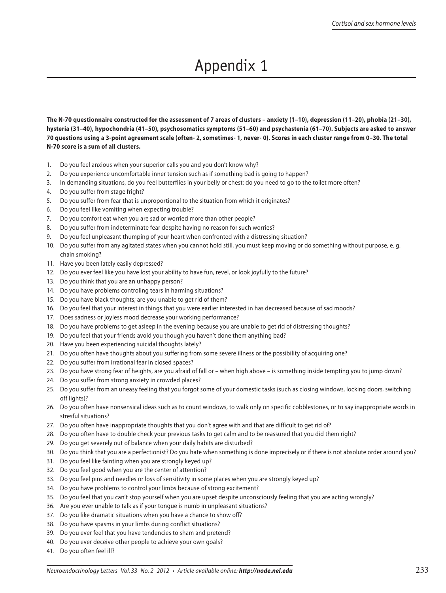# Appendix 1

**The N-70 questionnaire constructed for the assessment of 7 areas of clusters – anxiety (1–10), depression (11–20), phobia (21–30), hysteria (31–40), hypochondria (41–50), psychosomatics symptoms (51–60) and psychastenia (61–70). Subjects are asked to answer 70 questions using a 3-point agreement scale (often- 2, sometimes- 1, never- 0). Scores in each cluster range from 0–30. The total N-70 score is a sum of all clusters.**

- 1. Do you feel anxious when your superior calls you and you don't know why?
- 2. Do you experience uncomfortable inner tension such as if something bad is going to happen?
- 3. In demanding situations, do you feel butterflies in your belly or chest; do you need to go to the toilet more often?
- 4. Do you suffer from stage fright?
- 5. Do you suffer from fear that is unproportional to the situation from which it originates?
- 6. Do you feel like vomiting when expecting trouble?
- 7. Do you comfort eat when you are sad or worried more than other people?
- 8. Do you suffer from indeterminate fear despite having no reason for such worries?
- 9. Do you feel unpleasant thumping of your heart when confronted with a distressing situation?
- 10. Do you suffer from any agitated states when you cannot hold still, you must keep moving or do something without purpose, e. g. chain smoking?
- 11. Have you been lately easily depressed?
- 12. Do you ever feel like you have lost your ability to have fun, revel, or look joyfully to the future?
- 13. Do you think that you are an unhappy person?
- 14. Do you have problems controling tears in harming situations?
- 15. Do you have black thoughts; are you unable to get rid of them?
- 16. Do you feel that your interest in things that you were earlier interested in has decreased because of sad moods?
- 17. Does sadness or joyless mood decrease your working performance?
- 18. Do you have problems to get asleep in the evening because you are unable to get rid of distressing thoughts?
- 19. Do you feel that your friends avoid you though you haven't done them anything bad?
- 20. Have you been experiencing suicidal thoughts lately?
- 21. Do you often have thoughts about you suffering from some severe illness or the possibility of acquiring one?
- 22. Do you suffer from irrational fear in closed spaces?
- 23. Do you have strong fear of heights, are you afraid of fall or when high above is something inside tempting you to jump down?
- 24. Do you suffer from strong anxiety in crowded places?
- 25. Do you suffer from an uneasy feeling that you forgot some of your domestic tasks (such as closing windows, locking doors, switching off lights)?
- 26. Do you often have nonsensical ideas such as to count windows, to walk only on specific cobblestones, or to say inappropriate words in stresful situations?
- 27. Do you often have inappropriate thoughts that you don't agree with and that are difficult to get rid of?
- 28. Do you often have to double check your previous tasks to get calm and to be reassured that you did them right?
- 29. Do you get severely out of balance when your daily habits are disturbed?
- 30. Do you think that you are a perfectionist? Do you hate when something is done imprecisely or if there is not absolute order around you?
- 31. Do you feel like fainting when you are strongly keyed up?
- 32. Do you feel good when you are the center of attention?
- 33. Do you feel pins and needles or loss of sensitivity in some places when you are strongly keyed up?
- 34. Do you have problems to control your limbs because of strong excitement?
- 35. Do you feel that you can't stop yourself when you are upset despite unconsciously feeling that you are acting wrongly?
- 36. Are you ever unable to talk as if your tongue is numb in unpleasant situations?
- 37. Do you like dramatic situations when you have a chance to show off?
- 38. Do you have spasms in your limbs during conflict situations?
- 39. Do you ever feel that you have tendencies to sham and pretend?
- 40. Do you ever deceive other people to achieve your own goals?
- 41. Do you often feel ill?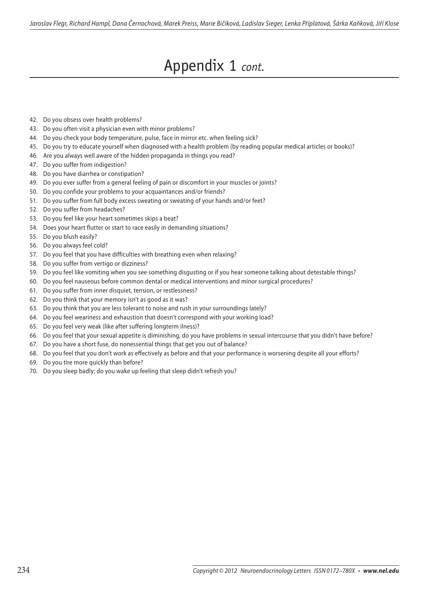## Appendix 1 *cont.*

- 42. Do you obsess over health problems?
- 43. Do you often visit a physician even with minor problems?
- 44. Do you check your body temperature, pulse, face in mirror etc. when feeling sick?
- 45. Do you try to educate yourself when diagnosed with a health problem (by reading popular medical articles or books)?
- 46. Are you always well aware of the hidden propaganda in things you read?
- 47. Do you suffer from indigestion?
- 48. Do you have diarrhea or constipation?
- 49. Do you ever suffer from a general feeling of pain or discomfort in your muscles or joints?
- 50. Do you confide your problems to your acquaintances and/or friends?
- 51. Do you suffer from full body excess sweating or sweating of your hands and/or feet?
- 52. Do you suffer from headaches?
- 53. Do you feel like your heart sometimes skips a beat?
- 54. Does your heart flutter or start to race easily in demanding situations?
- 55. Do you blush easily?
- 56. Do you always feel cold?
- 57. Do you feel that you have difficulties with breathing even when relaxing?
- 58. Do you suffer from vertigo or dizziness?
- 59. Do you feel like vomiting when you see something disgusting or if you hear someone talking about detestable things?
- 60. Do you feel nauseous before common dental or medical interventions and minor surgical procedures?
- 61. Do you suffer from inner disquiet, tension, or restlessness?
- 62. Do you think that your memory isn't as good as it was?
- 63. Do you think that you are less tolerant to noise and rush in your surroundings lately?
- 64. Do you feel weariness and exhaustion that doesn't correspond with your working load?
- 65. Do you feel very weak (like after suffering longterm ilness)?
- 66. Do you feel that your sexual appetite is diminishing, do you have problems in sexual intercourse that you didn't have before?
- 67. Do you have a short fuse, do nonessential things that get you out of balance?
- 68. Do you feel that you don't work as effectively as before and that your performance is worsening despite all your efforts?
- 69. Do you tire more quickly than before?
- 70. Do you sleep badly; do you wake up feeling that sleep didn't refresh you?